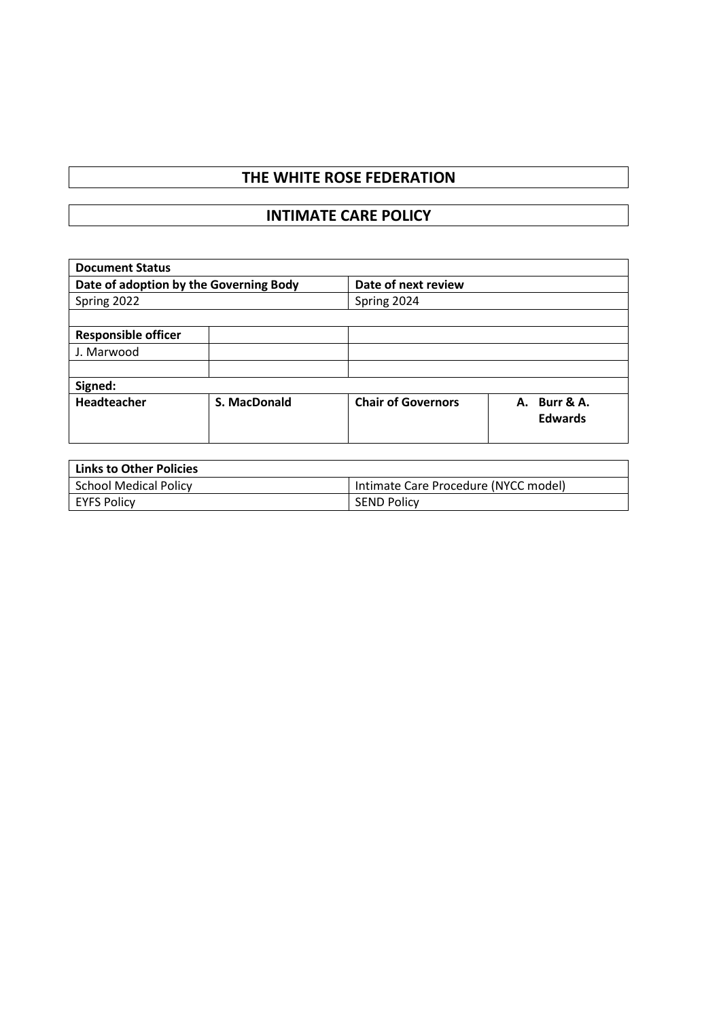# **THE WHITE ROSE FEDERATION**

# **INTIMATE CARE POLICY**

| <b>Document Status</b>                 |                     |                           |                                   |  |  |
|----------------------------------------|---------------------|---------------------------|-----------------------------------|--|--|
| Date of adoption by the Governing Body |                     | Date of next review       |                                   |  |  |
| Spring 2022                            |                     | Spring 2024               |                                   |  |  |
|                                        |                     |                           |                                   |  |  |
| <b>Responsible officer</b>             |                     |                           |                                   |  |  |
| J. Marwood                             |                     |                           |                                   |  |  |
|                                        |                     |                           |                                   |  |  |
| Signed:                                |                     |                           |                                   |  |  |
| Headteacher                            | <b>S. MacDonald</b> | <b>Chair of Governors</b> | Burr & A.<br>А.<br><b>Edwards</b> |  |  |

| <b>Links to Other Policies</b> |                                      |  |  |  |
|--------------------------------|--------------------------------------|--|--|--|
| School Medical Policy          | Intimate Care Procedure (NYCC model) |  |  |  |
| EYFS Policy                    | <b>SEND Policy</b>                   |  |  |  |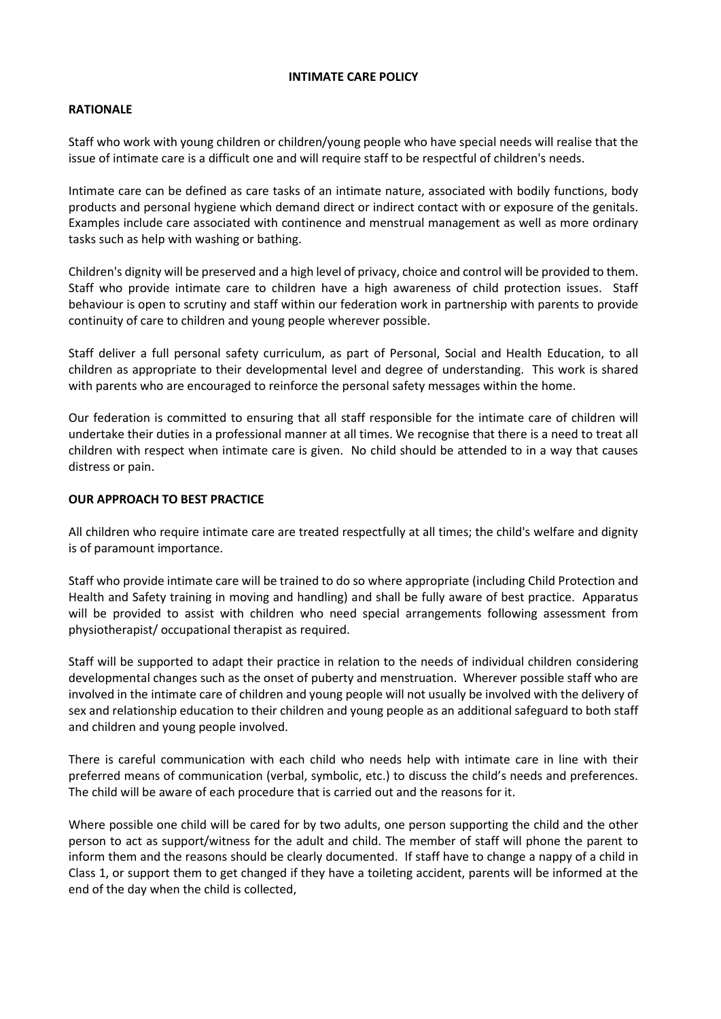#### **INTIMATE CARE POLICY**

## **RATIONALE**

Staff who work with young children or children/young people who have special needs will realise that the issue of intimate care is a difficult one and will require staff to be respectful of children's needs.

Intimate care can be defined as care tasks of an intimate nature, associated with bodily functions, body products and personal hygiene which demand direct or indirect contact with or exposure of the genitals. Examples include care associated with continence and menstrual management as well as more ordinary tasks such as help with washing or bathing.

Children's dignity will be preserved and a high level of privacy, choice and control will be provided to them. Staff who provide intimate care to children have a high awareness of child protection issues. Staff behaviour is open to scrutiny and staff within our federation work in partnership with parents to provide continuity of care to children and young people wherever possible.

Staff deliver a full personal safety curriculum, as part of Personal, Social and Health Education, to all children as appropriate to their developmental level and degree of understanding. This work is shared with parents who are encouraged to reinforce the personal safety messages within the home.

Our federation is committed to ensuring that all staff responsible for the intimate care of children will undertake their duties in a professional manner at all times. We recognise that there is a need to treat all children with respect when intimate care is given. No child should be attended to in a way that causes distress or pain.

## **OUR APPROACH TO BEST PRACTICE**

All children who require intimate care are treated respectfully at all times; the child's welfare and dignity is of paramount importance.

Staff who provide intimate care will be trained to do so where appropriate (including Child Protection and Health and Safety training in moving and handling) and shall be fully aware of best practice. Apparatus will be provided to assist with children who need special arrangements following assessment from physiotherapist/ occupational therapist as required.

Staff will be supported to adapt their practice in relation to the needs of individual children considering developmental changes such as the onset of puberty and menstruation. Wherever possible staff who are involved in the intimate care of children and young people will not usually be involved with the delivery of sex and relationship education to their children and young people as an additional safeguard to both staff and children and young people involved.

There is careful communication with each child who needs help with intimate care in line with their preferred means of communication (verbal, symbolic, etc.) to discuss the child's needs and preferences. The child will be aware of each procedure that is carried out and the reasons for it.

Where possible one child will be cared for by two adults, one person supporting the child and the other person to act as support/witness for the adult and child. The member of staff will phone the parent to inform them and the reasons should be clearly documented. If staff have to change a nappy of a child in Class 1, or support them to get changed if they have a toileting accident, parents will be informed at the end of the day when the child is collected,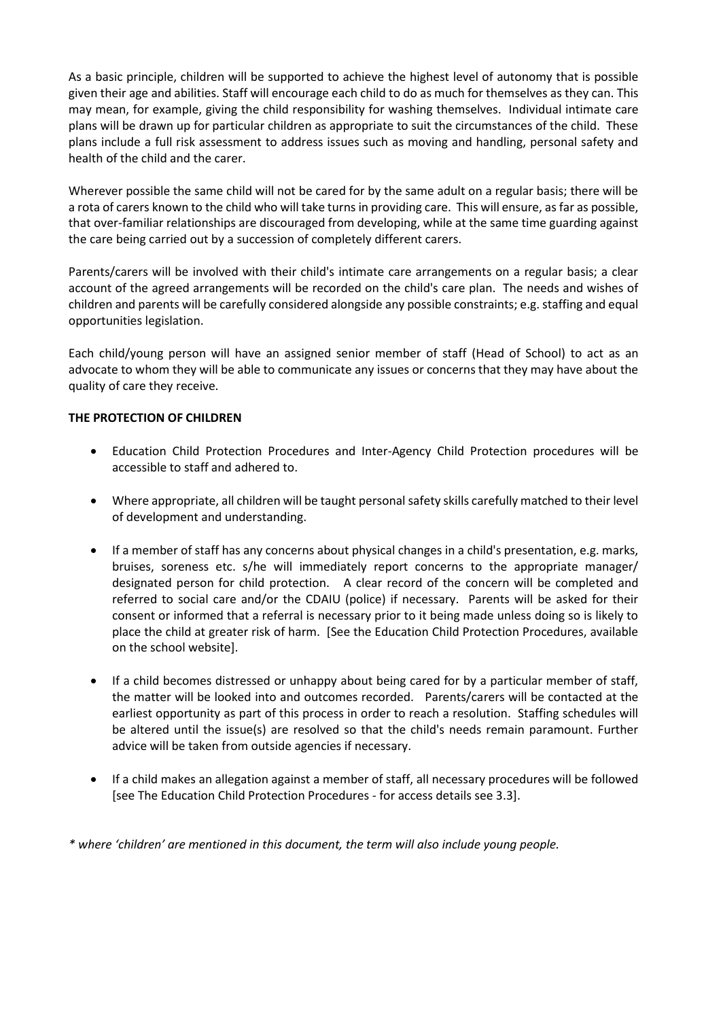As a basic principle, children will be supported to achieve the highest level of autonomy that is possible given their age and abilities. Staff will encourage each child to do as much for themselves as they can. This may mean, for example, giving the child responsibility for washing themselves. Individual intimate care plans will be drawn up for particular children as appropriate to suit the circumstances of the child. These plans include a full risk assessment to address issues such as moving and handling, personal safety and health of the child and the carer.

Wherever possible the same child will not be cared for by the same adult on a regular basis; there will be a rota of carers known to the child who will take turns in providing care. This will ensure, as far as possible, that over-familiar relationships are discouraged from developing, while at the same time guarding against the care being carried out by a succession of completely different carers.

Parents/carers will be involved with their child's intimate care arrangements on a regular basis; a clear account of the agreed arrangements will be recorded on the child's care plan. The needs and wishes of children and parents will be carefully considered alongside any possible constraints; e.g. staffing and equal opportunities legislation.

Each child/young person will have an assigned senior member of staff (Head of School) to act as an advocate to whom they will be able to communicate any issues or concerns that they may have about the quality of care they receive.

# **THE PROTECTION OF CHILDREN**

- Education Child Protection Procedures and Inter-Agency Child Protection procedures will be accessible to staff and adhered to.
- Where appropriate, all children will be taught personal safety skills carefully matched to their level of development and understanding.
- If a member of staff has any concerns about physical changes in a child's presentation, e.g. marks, bruises, soreness etc. s/he will immediately report concerns to the appropriate manager/ designated person for child protection. A clear record of the concern will be completed and referred to social care and/or the CDAIU (police) if necessary. Parents will be asked for their consent or informed that a referral is necessary prior to it being made unless doing so is likely to place the child at greater risk of harm. [See the Education Child Protection Procedures, available on the school website].
- If a child becomes distressed or unhappy about being cared for by a particular member of staff, the matter will be looked into and outcomes recorded. Parents/carers will be contacted at the earliest opportunity as part of this process in order to reach a resolution. Staffing schedules will be altered until the issue(s) are resolved so that the child's needs remain paramount. Further advice will be taken from outside agencies if necessary.
- If a child makes an allegation against a member of staff, all necessary procedures will be followed [see The Education Child Protection Procedures - for access details see 3.3].

*\* where 'children' are mentioned in this document, the term will also include young people.*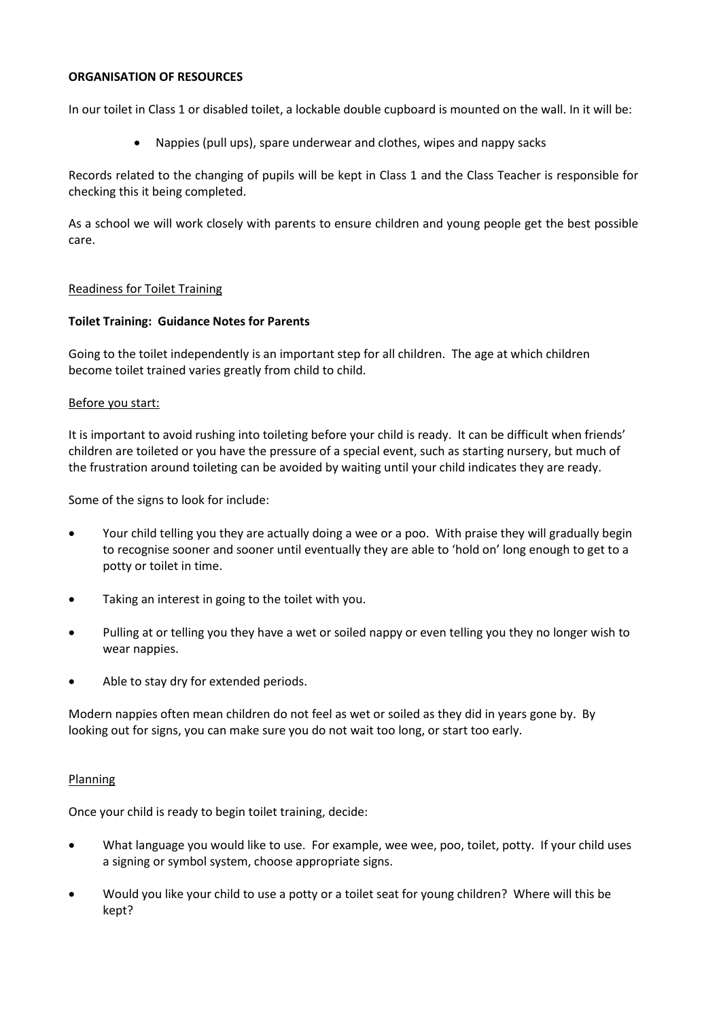#### **ORGANISATION OF RESOURCES**

In our toilet in Class 1 or disabled toilet, a lockable double cupboard is mounted on the wall. In it will be:

• Nappies (pull ups), spare underwear and clothes, wipes and nappy sacks

Records related to the changing of pupils will be kept in Class 1 and the Class Teacher is responsible for checking this it being completed.

As a school we will work closely with parents to ensure children and young people get the best possible care.

#### Readiness for Toilet Training

#### **Toilet Training: Guidance Notes for Parents**

Going to the toilet independently is an important step for all children. The age at which children become toilet trained varies greatly from child to child.

#### Before you start:

It is important to avoid rushing into toileting before your child is ready. It can be difficult when friends' children are toileted or you have the pressure of a special event, such as starting nursery, but much of the frustration around toileting can be avoided by waiting until your child indicates they are ready.

Some of the signs to look for include:

- Your child telling you they are actually doing a wee or a poo. With praise they will gradually begin to recognise sooner and sooner until eventually they are able to 'hold on' long enough to get to a potty or toilet in time.
- Taking an interest in going to the toilet with you.
- Pulling at or telling you they have a wet or soiled nappy or even telling you they no longer wish to wear nappies.
- Able to stay dry for extended periods.

Modern nappies often mean children do not feel as wet or soiled as they did in years gone by. By looking out for signs, you can make sure you do not wait too long, or start too early.

#### Planning

Once your child is ready to begin toilet training, decide:

- What language you would like to use. For example, wee wee, poo, toilet, potty. If your child uses a signing or symbol system, choose appropriate signs.
- Would you like your child to use a potty or a toilet seat for young children? Where will this be kept?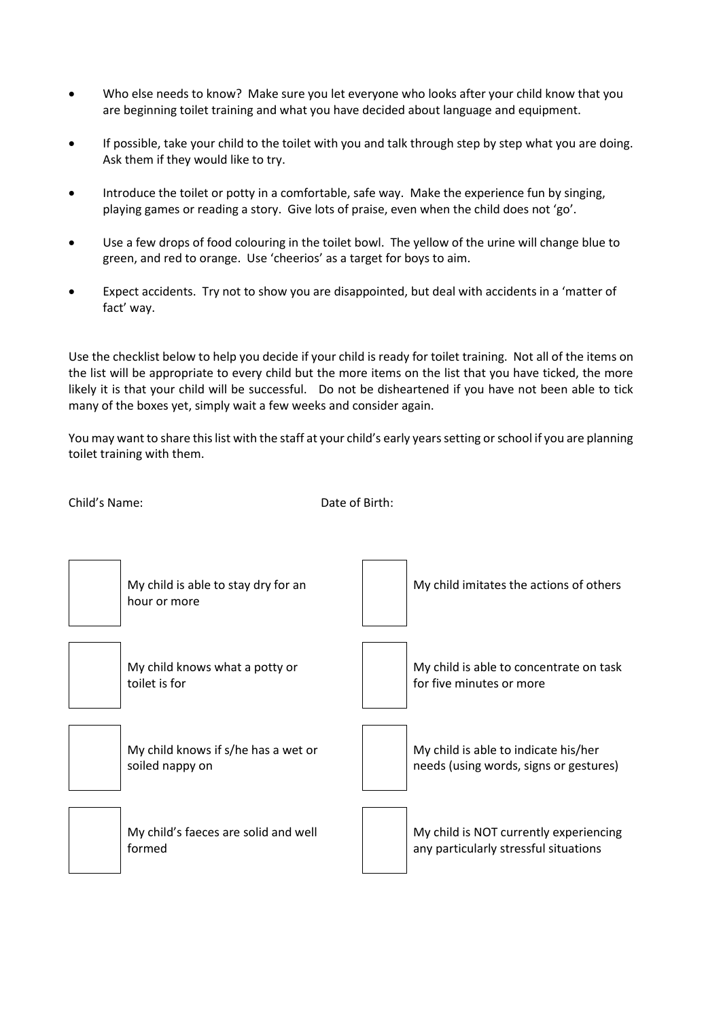- Who else needs to know? Make sure you let everyone who looks after your child know that you are beginning toilet training and what you have decided about language and equipment.
- If possible, take your child to the toilet with you and talk through step by step what you are doing. Ask them if they would like to try.
- Introduce the toilet or potty in a comfortable, safe way. Make the experience fun by singing, playing games or reading a story. Give lots of praise, even when the child does not 'go'.
- Use a few drops of food colouring in the toilet bowl. The yellow of the urine will change blue to green, and red to orange. Use 'cheerios' as a target for boys to aim.
- Expect accidents. Try not to show you are disappointed, but deal with accidents in a 'matter of fact' way.

Use the checklist below to help you decide if your child is ready for toilet training. Not all of the items on the list will be appropriate to every child but the more items on the list that you have ticked, the more likely it is that your child will be successful. Do not be disheartened if you have not been able to tick many of the boxes yet, simply wait a few weeks and consider again.

You may want to share this list with the staff at your child's early years setting or school if you are planning toilet training with them.

Date of Birth:

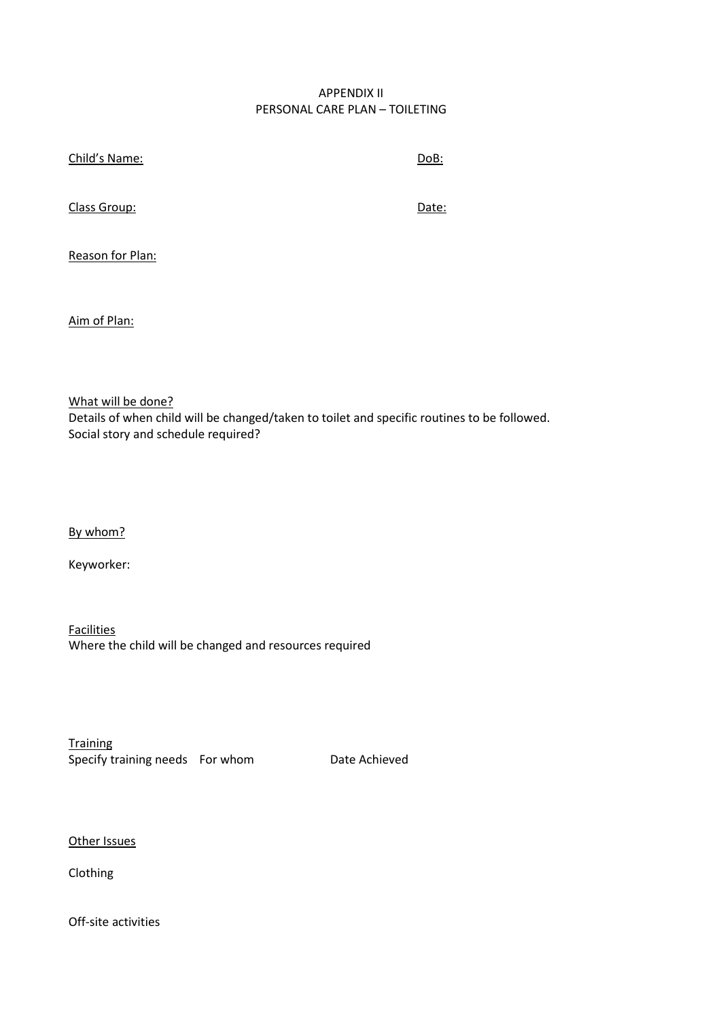## APPENDIX II PERSONAL CARE PLAN – TOILETING

| Child's Name:    | DoB:  |
|------------------|-------|
| Class Group:     | Date: |
| Reason for Plan: |       |

Aim of Plan:

What will be done? Details of when child will be changed/taken to toilet and specific routines to be followed. Social story and schedule required?

By whom?

Keyworker:

**Facilities** Where the child will be changed and resources required

**Training** Specify training needs For whom Date Achieved

Other Issues

Clothing

Off-site activities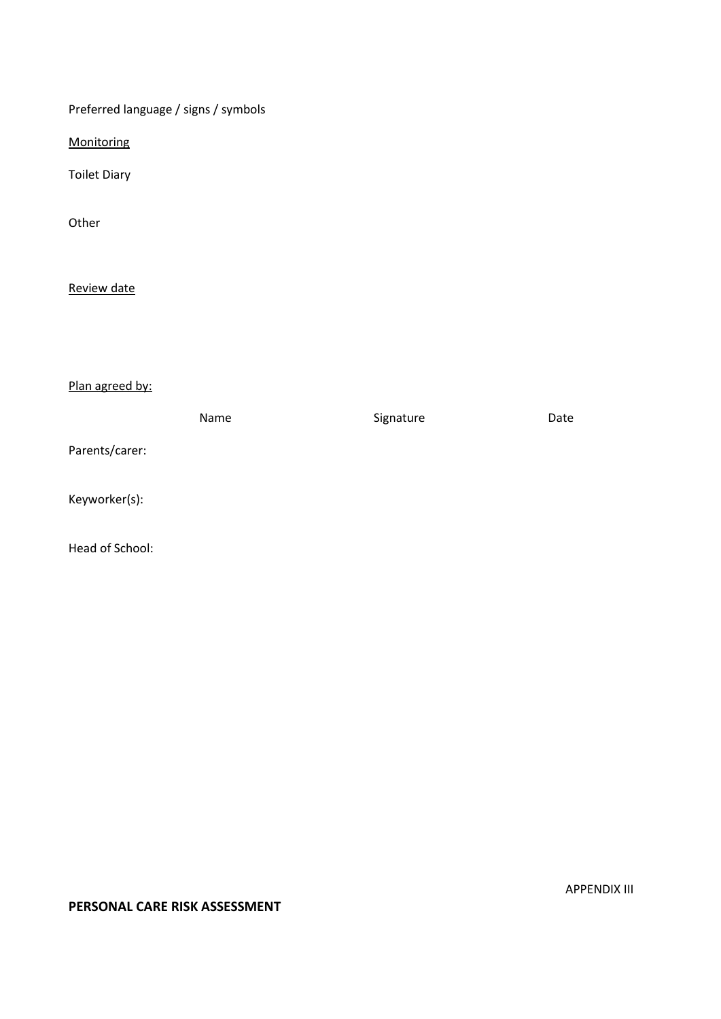Preferred language / signs / symbols

**Monitoring** 

Toilet Diary

Other

Review date

Plan agreed by:

|                 | Name | Signature | Date |
|-----------------|------|-----------|------|
| Parents/carer:  |      |           |      |
| Keyworker(s):   |      |           |      |
| Head of School: |      |           |      |

# **PERSONAL CARE RISK ASSESSMENT**

APPENDIX III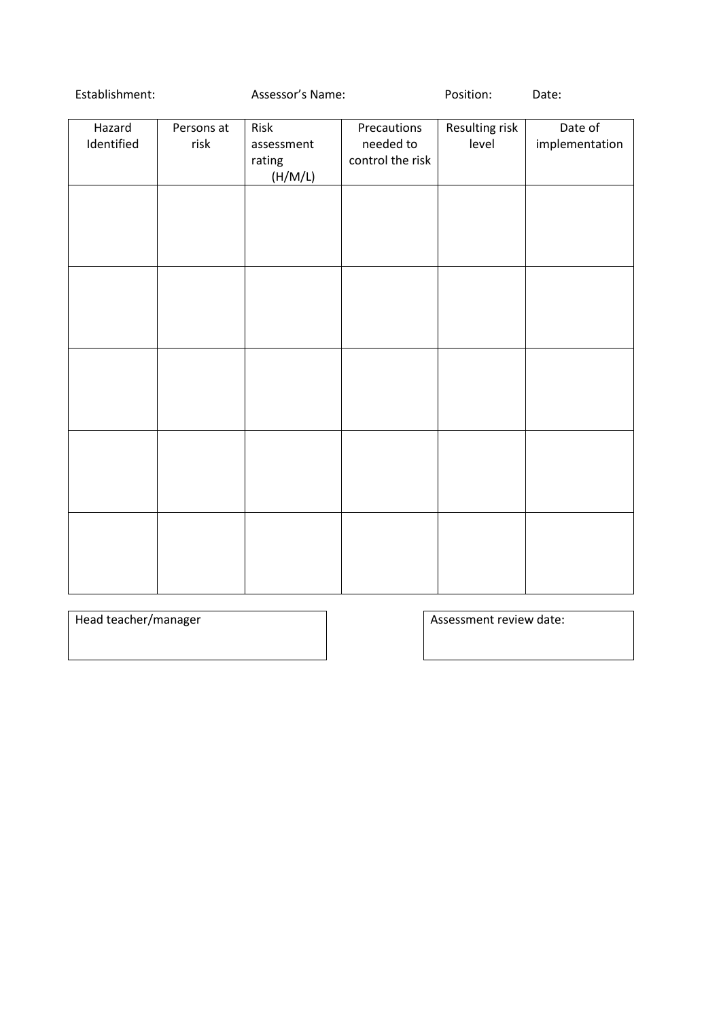# Establishment: Assessor's Name: Position: Date:

| Hazard<br>Identified | Persons at<br>risk | Risk<br>assessment<br>rating<br>(H/M/L) | Precautions<br>needed to<br>control the risk | Resulting risk<br>level | Date of<br>implementation |
|----------------------|--------------------|-----------------------------------------|----------------------------------------------|-------------------------|---------------------------|
|                      |                    |                                         |                                              |                         |                           |
|                      |                    |                                         |                                              |                         |                           |
|                      |                    |                                         |                                              |                         |                           |
|                      |                    |                                         |                                              |                         |                           |
|                      |                    |                                         |                                              |                         |                           |
|                      |                    |                                         |                                              |                         |                           |

Head teacher/manager **Assessment review date:**